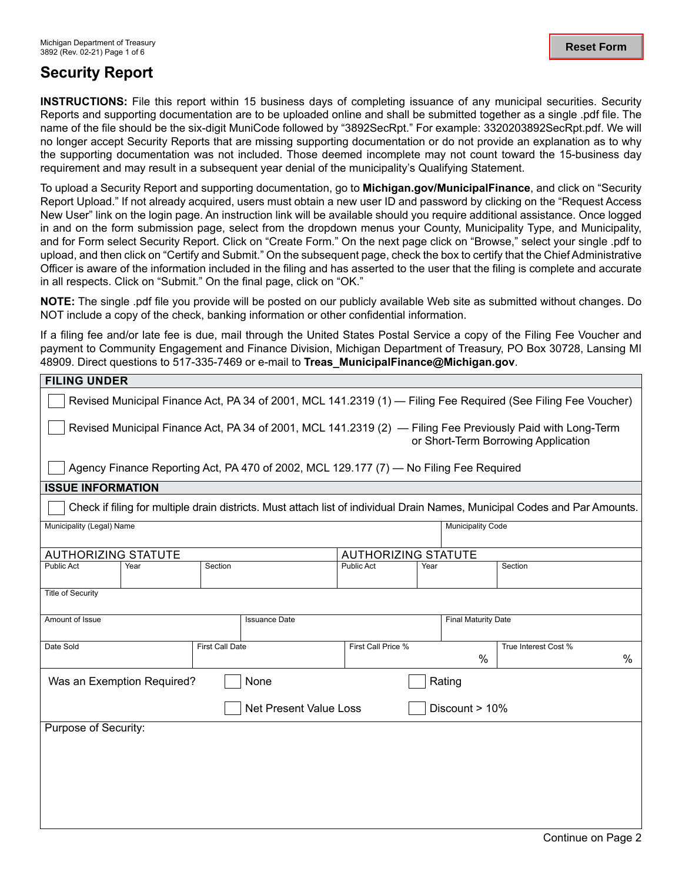## **Security Report**

**INSTRUCTIONS:** File this report within 15 business days of completing issuance of any municipal securities. Security Reports and supporting documentation are to be uploaded online and shall be submitted together as a single .pdf file. The name of the file should be the six-digit MuniCode followed by "3892SecRpt." For example: 3320203892SecRpt.pdf. We will no longer accept Security Reports that are missing supporting documentation or do not provide an explanation as to why the supporting documentation was not included. Those deemed incomplete may not count toward the 15-business day requirement and may result in a subsequent year denial of the municipality's Qualifying Statement.

To upload a Security Report and supporting documentation, go to **[Michigan.gov/MunicipalFinance](https://Michigan.gov/MunicipalFinance)**, and click on "Security Report Upload." If not already acquired, users must obtain a new user ID and password by clicking on the "Request Access New User" link on the login page. An instruction link will be available should you require additional assistance. Once logged in and on the form submission page, select from the dropdown menus your County, Municipality Type, and Municipality, and for Form select Security Report. Click on "Create Form." On the next page click on "Browse," select your single .pdf to upload, and then click on "Certify and Submit." On the subsequent page, check the box to certify that the Chief Administrative Officer is aware of the information included in the filing and has asserted to the user that the filing is complete and accurate in all respects. Click on "Submit." On the final page, click on "OK."

**NOTE:** The single .pdf file you provide will be posted on our publicly available Web site as submitted without changes. Do NOT include a copy of the check, banking information or other confidential information.

If a filing fee and/or late fee is due, mail through the United States Postal Service a copy of the Filing Fee Voucher and payment to Community Engagement and Finance Division, Michigan Department of Treasury, PO Box 30728, Lansing MI 48909. Direct questions to 517-335-7469 or e-mail to **[Treas\\_MunicipalFinance@Michigan.gov](mailto:Treas_MunicipalFinance@Michigan.gov)**.

| <b>FILING UNDER</b>                                                                                                                               |                        |         |                                                                                        |                            |  |                   |                                                                                                                            |  |
|---------------------------------------------------------------------------------------------------------------------------------------------------|------------------------|---------|----------------------------------------------------------------------------------------|----------------------------|--|-------------------|----------------------------------------------------------------------------------------------------------------------------|--|
| Revised Municipal Finance Act, PA 34 of 2001, MCL 141.2319 (1) - Filing Fee Required (See Filing Fee Voucher)                                     |                        |         |                                                                                        |                            |  |                   |                                                                                                                            |  |
| Revised Municipal Finance Act, PA 34 of 2001, MCL 141.2319 (2) - Filing Fee Previously Paid with Long-Term<br>or Short-Term Borrowing Application |                        |         |                                                                                        |                            |  |                   |                                                                                                                            |  |
|                                                                                                                                                   |                        |         | Agency Finance Reporting Act, PA 470 of 2002, MCL 129.177 (7) — No Filing Fee Required |                            |  |                   |                                                                                                                            |  |
| <b>ISSUE INFORMATION</b>                                                                                                                          |                        |         |                                                                                        |                            |  |                   |                                                                                                                            |  |
|                                                                                                                                                   |                        |         |                                                                                        |                            |  |                   | Check if filing for multiple drain districts. Must attach list of individual Drain Names, Municipal Codes and Par Amounts. |  |
| Municipality (Legal) Name                                                                                                                         |                        |         |                                                                                        |                            |  | Municipality Code |                                                                                                                            |  |
| <b>AUTHORIZING STATUTE</b>                                                                                                                        |                        |         |                                                                                        | <b>AUTHORIZING STATUTE</b> |  |                   |                                                                                                                            |  |
| Public Act                                                                                                                                        | Year                   | Section |                                                                                        | Public Act<br>Year         |  |                   | Section                                                                                                                    |  |
| <b>Title of Security</b>                                                                                                                          |                        |         |                                                                                        |                            |  |                   |                                                                                                                            |  |
| Amount of Issue<br><b>Issuance Date</b>                                                                                                           |                        |         |                                                                                        | <b>Final Maturity Date</b> |  |                   |                                                                                                                            |  |
| Date Sold                                                                                                                                         | <b>First Call Date</b> |         |                                                                                        | First Call Price %         |  | $\frac{0}{0}$     | True Interest Cost %<br>$\%$                                                                                               |  |
| Was an Exemption Required?<br>Rating<br>None                                                                                                      |                        |         |                                                                                        |                            |  |                   |                                                                                                                            |  |
| <b>Net Present Value Loss</b><br>Discount > 10%                                                                                                   |                        |         |                                                                                        |                            |  |                   |                                                                                                                            |  |
| Purpose of Security:                                                                                                                              |                        |         |                                                                                        |                            |  |                   |                                                                                                                            |  |
|                                                                                                                                                   |                        |         |                                                                                        |                            |  |                   |                                                                                                                            |  |
|                                                                                                                                                   |                        |         |                                                                                        |                            |  |                   |                                                                                                                            |  |
|                                                                                                                                                   |                        |         |                                                                                        |                            |  |                   |                                                                                                                            |  |
|                                                                                                                                                   |                        |         |                                                                                        |                            |  |                   |                                                                                                                            |  |
|                                                                                                                                                   |                        |         |                                                                                        |                            |  |                   |                                                                                                                            |  |
|                                                                                                                                                   |                        |         |                                                                                        |                            |  |                   |                                                                                                                            |  |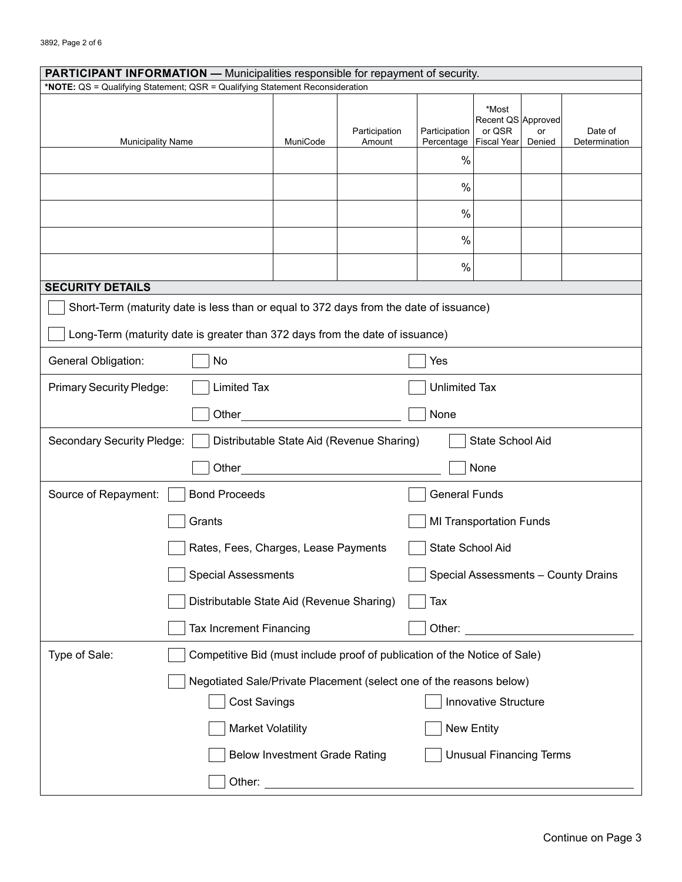| <b>PARTICIPANT INFORMATION — Municipalities responsible for repayment of security.</b>      |                                                                                        |                                      |                         |                             |                                                      |              |                          |  |
|---------------------------------------------------------------------------------------------|----------------------------------------------------------------------------------------|--------------------------------------|-------------------------|-----------------------------|------------------------------------------------------|--------------|--------------------------|--|
| *NOTE: QS = Qualifying Statement; QSR = Qualifying Statement Reconsideration                |                                                                                        |                                      |                         |                             |                                                      |              |                          |  |
| <b>Municipality Name</b>                                                                    |                                                                                        | MuniCode                             | Participation<br>Amount | Participation<br>Percentage | *Most<br>Recent QS Approved<br>or QSR<br>Fiscal Year | or<br>Denied | Date of<br>Determination |  |
|                                                                                             |                                                                                        |                                      |                         | $\%$                        |                                                      |              |                          |  |
|                                                                                             |                                                                                        |                                      |                         | $\%$                        |                                                      |              |                          |  |
|                                                                                             |                                                                                        |                                      |                         | $\frac{0}{0}$               |                                                      |              |                          |  |
|                                                                                             |                                                                                        |                                      |                         | $\frac{0}{0}$               |                                                      |              |                          |  |
|                                                                                             |                                                                                        |                                      |                         | $\frac{0}{0}$               |                                                      |              |                          |  |
| <b>SECURITY DETAILS</b>                                                                     |                                                                                        |                                      |                         |                             |                                                      |              |                          |  |
|                                                                                             | Short-Term (maturity date is less than or equal to 372 days from the date of issuance) |                                      |                         |                             |                                                      |              |                          |  |
|                                                                                             | Long-Term (maturity date is greater than 372 days from the date of issuance)           |                                      |                         |                             |                                                      |              |                          |  |
| General Obligation:<br>No                                                                   |                                                                                        |                                      |                         | Yes                         |                                                      |              |                          |  |
| <b>Primary Security Pledge:</b><br><b>Limited Tax</b><br><b>Unlimited Tax</b>               |                                                                                        |                                      |                         |                             |                                                      |              |                          |  |
| Other<br>None                                                                               |                                                                                        |                                      |                         |                             |                                                      |              |                          |  |
| Secondary Security Pledge:<br>Distributable State Aid (Revenue Sharing)<br>State School Aid |                                                                                        |                                      |                         |                             |                                                      |              |                          |  |
| None<br>Other                                                                               |                                                                                        |                                      |                         |                             |                                                      |              |                          |  |
| <b>Bond Proceeds</b><br>Source of Repayment:                                                |                                                                                        |                                      | <b>General Funds</b>    |                             |                                                      |              |                          |  |
|                                                                                             | Grants                                                                                 |                                      |                         |                             | <b>MI Transportation Funds</b>                       |              |                          |  |
|                                                                                             | Rates, Fees, Charges, Lease Payments                                                   |                                      |                         | State School Aid            |                                                      |              |                          |  |
|                                                                                             | <b>Special Assessments</b><br>Special Assessments - County Drains                      |                                      |                         |                             |                                                      |              |                          |  |
|                                                                                             | Distributable State Aid (Revenue Sharing)<br>Tax                                       |                                      |                         |                             |                                                      |              |                          |  |
| Tax Increment Financing<br>Other:                                                           |                                                                                        |                                      |                         |                             |                                                      |              |                          |  |
| Type of Sale:                                                                               | Competitive Bid (must include proof of publication of the Notice of Sale)              |                                      |                         |                             |                                                      |              |                          |  |
|                                                                                             | Negotiated Sale/Private Placement (select one of the reasons below)                    |                                      |                         |                             |                                                      |              |                          |  |
|                                                                                             | <b>Cost Savings</b>                                                                    |                                      |                         |                             | Innovative Structure                                 |              |                          |  |
|                                                                                             |                                                                                        | <b>Market Volatility</b>             |                         |                             | <b>New Entity</b>                                    |              |                          |  |
|                                                                                             |                                                                                        | <b>Below Investment Grade Rating</b> |                         |                             | <b>Unusual Financing Terms</b>                       |              |                          |  |
|                                                                                             | Other:                                                                                 |                                      |                         |                             |                                                      |              |                          |  |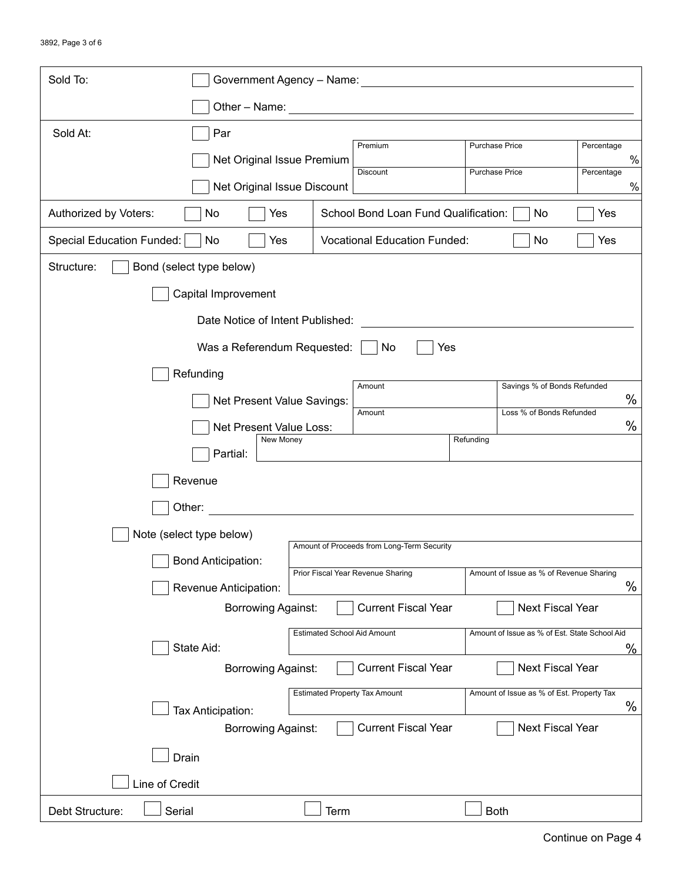| Sold To:                                                               | Government Agency - Name:                          |      |                                      |                       |                                               |            |      |
|------------------------------------------------------------------------|----------------------------------------------------|------|--------------------------------------|-----------------------|-----------------------------------------------|------------|------|
|                                                                        | Other - Name:                                      |      |                                      |                       |                                               |            |      |
| Sold At:                                                               | Par                                                |      |                                      |                       |                                               |            |      |
|                                                                        | Net Original Issue Premium                         |      | Premium                              | <b>Purchase Price</b> |                                               | Percentage | %    |
|                                                                        | Net Original Issue Discount                        |      | <b>Discount</b>                      | <b>Purchase Price</b> |                                               | Percentage | %    |
| Authorized by Voters:                                                  | Yes<br>No                                          |      | School Bond Loan Fund Qualification: |                       | No                                            | Yes        |      |
| Special Education Funded:                                              | Yes<br>No                                          |      | <b>Vocational Education Funded:</b>  |                       | No                                            | Yes        |      |
| Structure:<br>Bond (select type below)                                 |                                                    |      |                                      |                       |                                               |            |      |
| Capital Improvement                                                    |                                                    |      |                                      |                       |                                               |            |      |
|                                                                        | Date Notice of Intent Published:                   |      |                                      |                       |                                               |            |      |
|                                                                        | Was a Referendum Requested:                        |      | Yes<br>No                            |                       |                                               |            |      |
| Refunding                                                              |                                                    |      |                                      |                       |                                               |            |      |
|                                                                        | Net Present Value Savings:                         |      | Amount                               |                       | Savings % of Bonds Refunded                   |            | $\%$ |
|                                                                        | Net Present Value Loss:                            |      | Amount                               |                       | Loss % of Bonds Refunded                      |            | $\%$ |
|                                                                        | New Money<br>Partial:                              |      |                                      | Refunding             |                                               |            |      |
|                                                                        |                                                    |      |                                      |                       |                                               |            |      |
| Revenue                                                                |                                                    |      |                                      |                       |                                               |            |      |
| Other:                                                                 |                                                    |      |                                      |                       |                                               |            |      |
| Note (select type below)<br>Amount of Proceeds from Long-Term Security |                                                    |      |                                      |                       |                                               |            |      |
|                                                                        | <b>Bond Anticipation:</b>                          |      | Prior Fiscal Year Revenue Sharing    |                       | Amount of Issue as % of Revenue Sharing       |            |      |
|                                                                        | Revenue Anticipation:<br><b>Borrowing Against:</b> |      | <b>Current Fiscal Year</b>           |                       | Next Fiscal Year                              |            | %    |
|                                                                        |                                                    |      | <b>Estimated School Aid Amount</b>   |                       | Amount of Issue as % of Est. State School Aid |            |      |
|                                                                        | State Aid:                                         |      |                                      |                       |                                               |            | %    |
|                                                                        | <b>Borrowing Against:</b>                          |      | <b>Current Fiscal Year</b>           |                       | Next Fiscal Year                              |            |      |
|                                                                        | Tax Anticipation:                                  |      | <b>Estimated Property Tax Amount</b> |                       | Amount of Issue as % of Est. Property Tax     |            | %    |
|                                                                        | <b>Borrowing Against:</b>                          |      | <b>Current Fiscal Year</b>           |                       | <b>Next Fiscal Year</b>                       |            |      |
| Drain                                                                  |                                                    |      |                                      |                       |                                               |            |      |
| Line of Credit                                                         |                                                    |      |                                      |                       |                                               |            |      |
| Serial<br>Debt Structure:                                              |                                                    | Term |                                      |                       | <b>Both</b>                                   |            |      |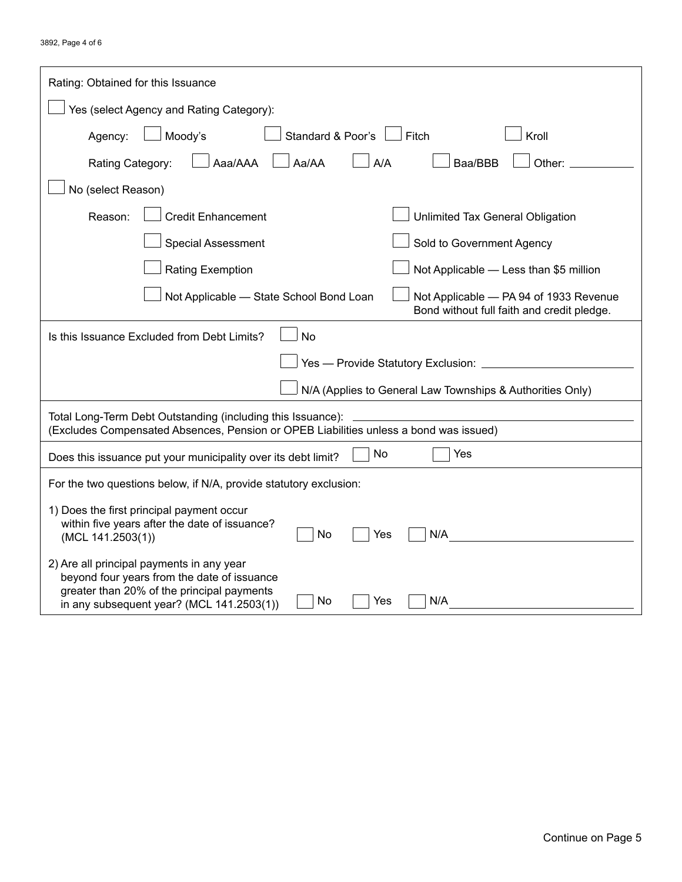| Rating: Obtained for this Issuance                                                                                                                                                                      |  |  |  |  |  |  |
|---------------------------------------------------------------------------------------------------------------------------------------------------------------------------------------------------------|--|--|--|--|--|--|
| Yes (select Agency and Rating Category):                                                                                                                                                                |  |  |  |  |  |  |
| Standard & Poor's<br>Kroll<br>Moody's<br>Fitch<br>Agency:                                                                                                                                               |  |  |  |  |  |  |
| Aaa/AAA<br>Aa/AA<br>A/A<br>Baa/BBB<br>Other:<br>Rating Category:                                                                                                                                        |  |  |  |  |  |  |
| No (select Reason)                                                                                                                                                                                      |  |  |  |  |  |  |
| <b>Credit Enhancement</b><br>Reason:<br>Unlimited Tax General Obligation                                                                                                                                |  |  |  |  |  |  |
| <b>Special Assessment</b><br>Sold to Government Agency                                                                                                                                                  |  |  |  |  |  |  |
| Not Applicable - Less than \$5 million<br><b>Rating Exemption</b>                                                                                                                                       |  |  |  |  |  |  |
| Not Applicable - State School Bond Loan<br>Not Applicable - PA 94 of 1933 Revenue<br>Bond without full faith and credit pledge.                                                                         |  |  |  |  |  |  |
| <b>No</b><br>Is this Issuance Excluded from Debt Limits?                                                                                                                                                |  |  |  |  |  |  |
| Yes - Provide Statutory Exclusion: _                                                                                                                                                                    |  |  |  |  |  |  |
| N/A (Applies to General Law Townships & Authorities Only)                                                                                                                                               |  |  |  |  |  |  |
| Total Long-Term Debt Outstanding (including this Issuance):                                                                                                                                             |  |  |  |  |  |  |
| (Excludes Compensated Absences, Pension or OPEB Liabilities unless a bond was issued)                                                                                                                   |  |  |  |  |  |  |
| Yes<br>No<br>Does this issuance put your municipality over its debt limit?                                                                                                                              |  |  |  |  |  |  |
| For the two questions below, if N/A, provide statutory exclusion:                                                                                                                                       |  |  |  |  |  |  |
| 1) Does the first principal payment occur<br>within five years after the date of issuance?<br>N/A<br>No<br>Yes<br>(MCL 141.2503(1))                                                                     |  |  |  |  |  |  |
| 2) Are all principal payments in any year<br>beyond four years from the date of issuance<br>greater than 20% of the principal payments<br>No<br>Yes<br>N/A<br>in any subsequent year? (MCL 141.2503(1)) |  |  |  |  |  |  |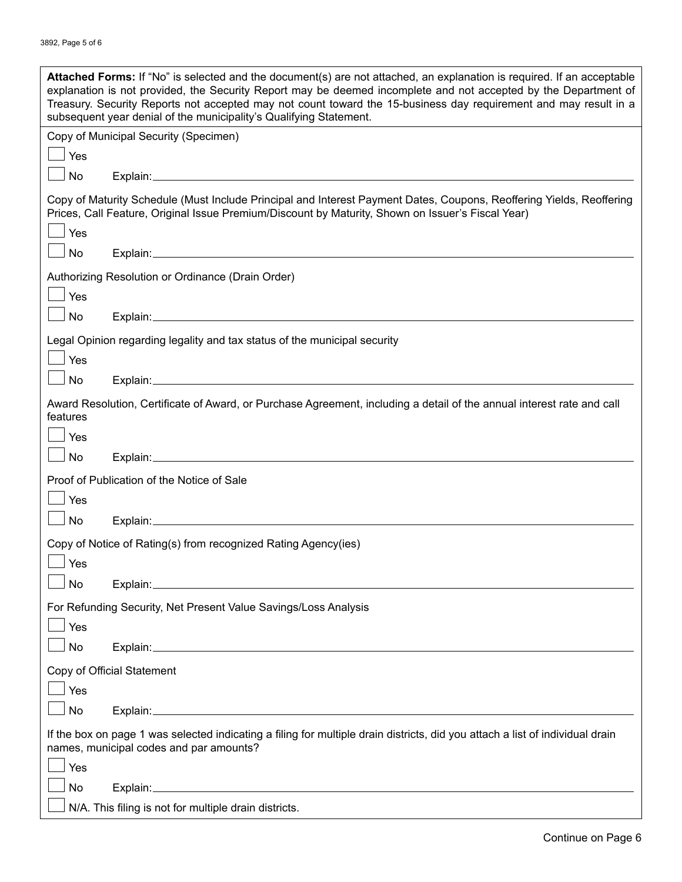| Attached Forms: If "No" is selected and the document(s) are not attached, an explanation is required. If an acceptable<br>explanation is not provided, the Security Report may be deemed incomplete and not accepted by the Department of<br>Treasury. Security Reports not accepted may not count toward the 15-business day requirement and may result in a<br>subsequent year denial of the municipality's Qualifying Statement. |  |  |  |  |  |
|-------------------------------------------------------------------------------------------------------------------------------------------------------------------------------------------------------------------------------------------------------------------------------------------------------------------------------------------------------------------------------------------------------------------------------------|--|--|--|--|--|
| Copy of Municipal Security (Specimen)                                                                                                                                                                                                                                                                                                                                                                                               |  |  |  |  |  |
| Yes                                                                                                                                                                                                                                                                                                                                                                                                                                 |  |  |  |  |  |
| No                                                                                                                                                                                                                                                                                                                                                                                                                                  |  |  |  |  |  |
| Copy of Maturity Schedule (Must Include Principal and Interest Payment Dates, Coupons, Reoffering Yields, Reoffering<br>Prices, Call Feature, Original Issue Premium/Discount by Maturity, Shown on Issuer's Fiscal Year)                                                                                                                                                                                                           |  |  |  |  |  |
| Yes                                                                                                                                                                                                                                                                                                                                                                                                                                 |  |  |  |  |  |
| No                                                                                                                                                                                                                                                                                                                                                                                                                                  |  |  |  |  |  |
| Authorizing Resolution or Ordinance (Drain Order)                                                                                                                                                                                                                                                                                                                                                                                   |  |  |  |  |  |
| Yes                                                                                                                                                                                                                                                                                                                                                                                                                                 |  |  |  |  |  |
| No                                                                                                                                                                                                                                                                                                                                                                                                                                  |  |  |  |  |  |
| Legal Opinion regarding legality and tax status of the municipal security                                                                                                                                                                                                                                                                                                                                                           |  |  |  |  |  |
| Yes                                                                                                                                                                                                                                                                                                                                                                                                                                 |  |  |  |  |  |
| No                                                                                                                                                                                                                                                                                                                                                                                                                                  |  |  |  |  |  |
|                                                                                                                                                                                                                                                                                                                                                                                                                                     |  |  |  |  |  |
| Award Resolution, Certificate of Award, or Purchase Agreement, including a detail of the annual interest rate and call<br>features                                                                                                                                                                                                                                                                                                  |  |  |  |  |  |
| Yes                                                                                                                                                                                                                                                                                                                                                                                                                                 |  |  |  |  |  |
| No                                                                                                                                                                                                                                                                                                                                                                                                                                  |  |  |  |  |  |
| Proof of Publication of the Notice of Sale                                                                                                                                                                                                                                                                                                                                                                                          |  |  |  |  |  |
| Yes                                                                                                                                                                                                                                                                                                                                                                                                                                 |  |  |  |  |  |
| No                                                                                                                                                                                                                                                                                                                                                                                                                                  |  |  |  |  |  |
| Copy of Notice of Rating(s) from recognized Rating Agency(ies)<br>Yes                                                                                                                                                                                                                                                                                                                                                               |  |  |  |  |  |
| No                                                                                                                                                                                                                                                                                                                                                                                                                                  |  |  |  |  |  |
|                                                                                                                                                                                                                                                                                                                                                                                                                                     |  |  |  |  |  |
| For Refunding Security, Net Present Value Savings/Loss Analysis<br>Yes                                                                                                                                                                                                                                                                                                                                                              |  |  |  |  |  |
| No                                                                                                                                                                                                                                                                                                                                                                                                                                  |  |  |  |  |  |
| Copy of Official Statement                                                                                                                                                                                                                                                                                                                                                                                                          |  |  |  |  |  |
| Yes                                                                                                                                                                                                                                                                                                                                                                                                                                 |  |  |  |  |  |
| No                                                                                                                                                                                                                                                                                                                                                                                                                                  |  |  |  |  |  |
| If the box on page 1 was selected indicating a filing for multiple drain districts, did you attach a list of individual drain<br>names, municipal codes and par amounts?                                                                                                                                                                                                                                                            |  |  |  |  |  |
| Yes                                                                                                                                                                                                                                                                                                                                                                                                                                 |  |  |  |  |  |
| No                                                                                                                                                                                                                                                                                                                                                                                                                                  |  |  |  |  |  |
| N/A. This filing is not for multiple drain districts.                                                                                                                                                                                                                                                                                                                                                                               |  |  |  |  |  |